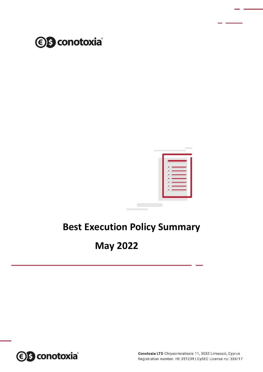



# **Best Execution Policy Summary**

# **May 2022**

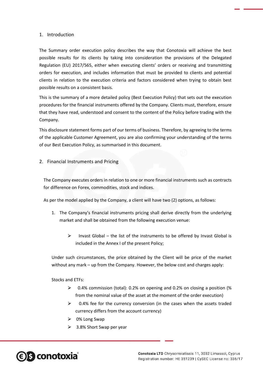### 1. Introduction

The Summary order execution policy describes the way that Conotoxia will achieve the best possible results for its clients by taking into consideration the provisions of the Delegated Regulation (EU) 2017/565, either when executing clients' orders or receiving and transmitting orders for execution, and includes information that must be provided to clients and potential clients in relation to the execution criteria and factors considered when trying to obtain best possible results on a consistent basis.

This is the summary of a more detailed policy (Best Execution Policy) that sets out the execution procedures for the financial instruments offered by the Company. Clients must, therefore, ensure that they have read, understood and consent to the content of the Policy before trading with the Company.

This disclosure statement forms part of our terms of business. Therefore, by agreeing to the terms of the applicable Customer Agreement, you are also confirming your understanding of the terms of our Best Execution Policy, as summarised in this document.

2. Financial Instruments and Pricing

The Company executes orders in relation to one or more financial instruments such as contracts for difference on Forex, commodities, stock and indices.

As per the model applied by the Company, a client will have two (2) options, as follows:

- 1. The Company's financial instruments pricing shall derive directly from the underlying market and shall be obtained from the following execution venue:
	- $\triangleright$  Invast Global the list of the instruments to be offered by Invast Global is included in the Annex I of the present Policy;

Under such circumstances, the price obtained by the Client will be price of the market without any mark – up from the Company. However, the below cost and charges apply:

Stocks and ETFs:

- $\geq$  0.4% commission (total): 0.2% on opening and 0.2% on closing a position (%) from the nominal value of the asset at the moment of the order execution)
- $\geq$  0.4% fee for the currency conversion (in the cases when the assets traded currency differs from the account currency)
- $\triangleright$  0% Long Swap
- $\geq$  3.8% Short Swap per year

**€ S** conotoxia®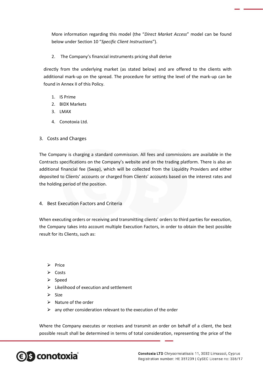More information regarding this model (the "*Direct Market Access*" model can be found below under Section 10 "*Specific Client Instructions*").

2. The Company's financial instruments pricing shall derive

directly from the underlying market (as stated below) and are offered to the clients with additional mark-up on the spread. The procedure for setting the level of the mark-up can be found in Annex II of this Policy.

- 1. IS Prime
- 2. BIDX Markets
- 3. LMAX
- 4. Conotoxia Ltd.
- 3. Costs and Charges

The Company is charging a standard commission. All fees and commissions are available in the Contracts specifications on the Company's website and on the trading platform. There is also an additional financial fee (Swap), which will be collected from the Liquidity Providers and either deposited to Clients' accounts or charged from Clients' accounts based on the interest rates and the holding period of the position.

4. Best Execution Factors and Criteria

When executing orders or receiving and transmitting clients' orders to third parties for execution, the Company takes into account multiple Execution Factors, in order to obtain the best possible result for its Clients, such as:

- $\triangleright$  Price
- $\triangleright$  Costs
- $\triangleright$  Speed
- $\triangleright$  Likelihood of execution and settlement
- $\triangleright$  Size
- $\triangleright$  Nature of the order
- $\triangleright$  any other consideration relevant to the execution of the order

Where the Company executes or receives and transmit an order on behalf of a client, the best possible result shall be determined in terms of total consideration, representing the price of the

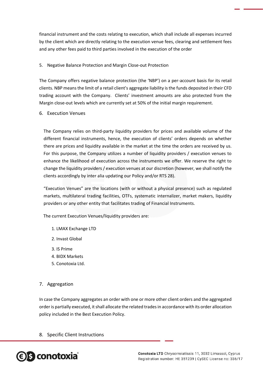financial instrument and the costs relating to execution, which shall include all expenses incurred by the client which are directly relating to the execution venue fees, clearing and settlement fees and any other fees paid to third parties involved in the execution of the order

### 5. Negative Balance Protection and Margin Close-out Protection

The Company offers negative balance protection (the 'NBP') on a per-account basis for its retail clients. NBP means the limit of a retail client's aggregate liability is the funds deposited in their CFD trading account with the Company. Clients' investment amounts are also protected from the Margin close-out levels which are currently set at 50% of the initial margin requirement.

6. Execution Venues

The Company relies on third-party liquidity providers for prices and available volume of the different financial instruments, hence, the execution of clients' orders depends on whether there are prices and liquidity available in the market at the time the orders are received by us. For this purpose, the Company utilizes a number of liquidity providers / execution venues to enhance the likelihood of execution across the instruments we offer. We reserve the right to change the liquidity providers / execution venues at our discretion (however, we shall notify the clients accordingly by inter alia updating our Policy and/or RTS 28).

"Execution Venues" are the locations (with or without a physical presence) such as regulated markets, multilateral trading facilities, OTFs, systematic internalizer, market makers, liquidity providers or any other entity that facilitates trading of Financial Instruments.

The current Execution Venues/liquidity providers are:

- 1. LMAX Exchange LTD
- 2. Invast Global
- 3. IS Prime
- 4. BIDX Markets
- 5. Conotoxia Ltd.

7. Aggregation

In case the Company aggregates an order with one or more other client orders and the aggregated order is partially executed, it shall allocate the related trades in accordance with its order allocation policy included in the Best Execution Policy.

8. Specific Client Instructions